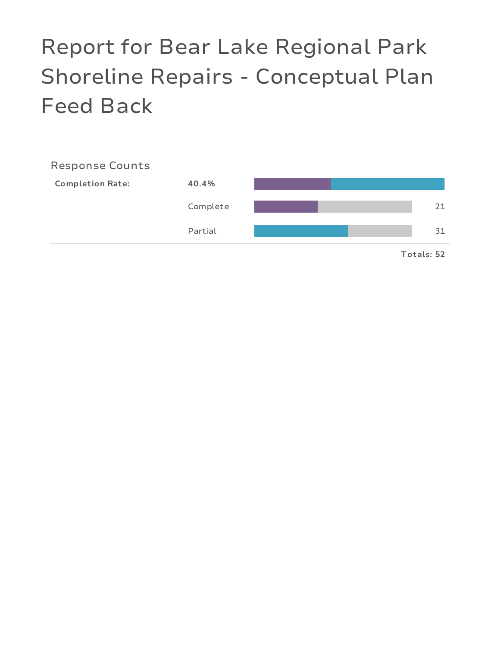# Report for Bear Lake Regional Park Shoreline Repairs - Conceptual Plan Feed Back

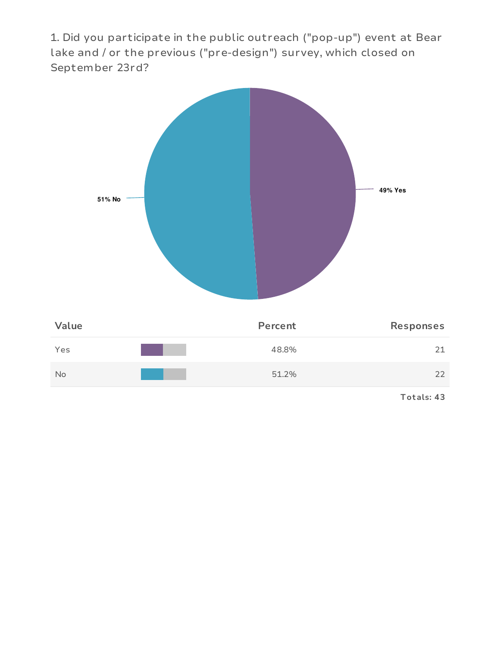1. Did you participate in the public outreach ("pop-up") event at Bear lake and / or the previous ("pre-design") survey, which closed on September 23rd?



**Tot als: 43**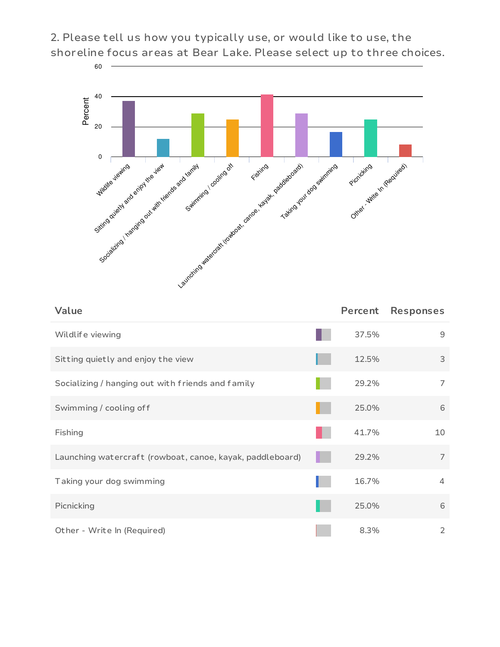2. Please tell us how you typically use, or would like to use, the shoreline focus areas at Bear Lake. Please select up to three choices.



| Value                                                     | Percent | <b>Responses</b> |
|-----------------------------------------------------------|---------|------------------|
| Wildlife viewing                                          | 37.5%   | 9                |
| Sitting quietly and enjoy the view                        | 12.5%   | 3                |
| Socializing / hanging out with friends and family         | 29.2%   | 7                |
| Swimming / cooling off                                    | 25.0%   | 6                |
| Fishing                                                   | 41.7%   | 10               |
| Launching watercraft (rowboat, canoe, kayak, paddleboard) | 29.2%   | 7                |
| Taking your dog swimming                                  | 16.7%   | $\overline{4}$   |
| Picnicking                                                | 25.0%   | 6                |
| Other - Write In (Required)                               | 8.3%    | 2                |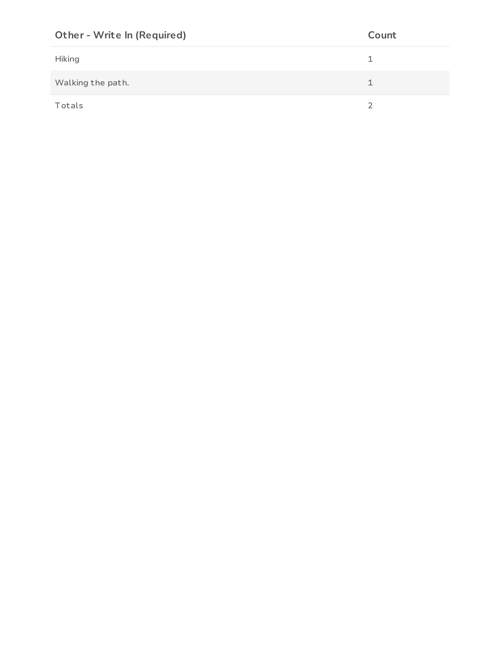| <b>Other - Write In (Required)</b> | Count |
|------------------------------------|-------|
| <b>Hiking</b>                      |       |
| Walking the path.                  |       |
| Totals                             | ∍     |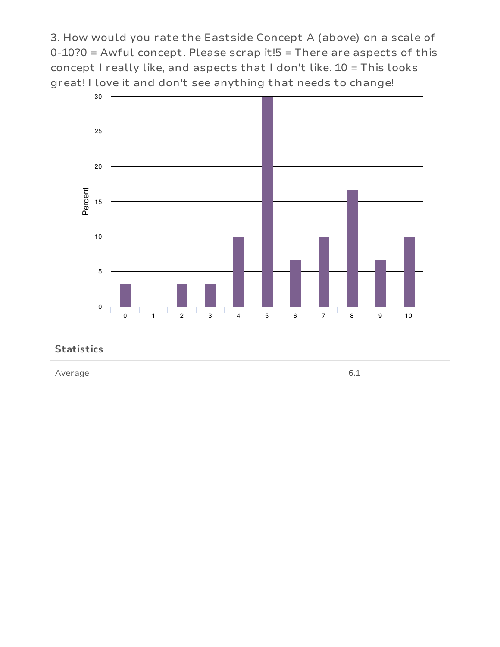3. How would you rate the Eastside Concept A (above) on a scale of  $0-10$ ?0 = Awful concept. Please scrap it! $5$  = There are aspects of this concept I really like, and aspects that I don't like. 10 = This looks great! I love it and don't see anything that needs to change!



#### **Statistics**

Average 6.1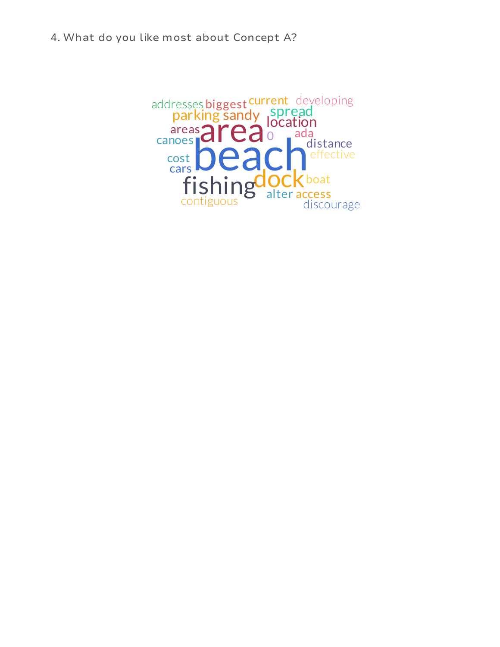4. What do you like most about Concept A?

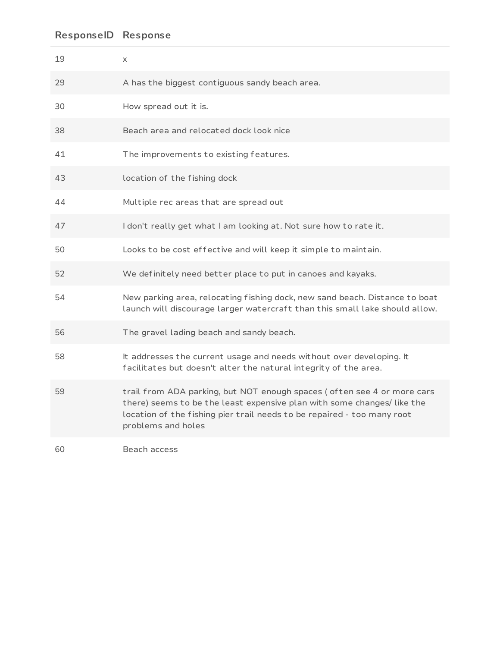| 19 | X                                                                                                                                                                                                                                                   |
|----|-----------------------------------------------------------------------------------------------------------------------------------------------------------------------------------------------------------------------------------------------------|
| 29 | A has the biggest contiguous sandy beach area.                                                                                                                                                                                                      |
| 30 | How spread out it is.                                                                                                                                                                                                                               |
| 38 | Beach area and relocated dock look nice                                                                                                                                                                                                             |
| 41 | The improvements to existing features.                                                                                                                                                                                                              |
| 43 | location of the fishing dock                                                                                                                                                                                                                        |
| 44 | Multiple rec areas that are spread out                                                                                                                                                                                                              |
| 47 | I don't really get what I am looking at. Not sure how to rate it.                                                                                                                                                                                   |
| 50 | Looks to be cost effective and will keep it simple to maintain.                                                                                                                                                                                     |
| 52 | We definitely need better place to put in canoes and kayaks.                                                                                                                                                                                        |
| 54 | New parking area, relocating fishing dock, new sand beach. Distance to boat<br>launch will discourage larger watercraft than this small lake should allow.                                                                                          |
| 56 | The gravel lading beach and sandy beach.                                                                                                                                                                                                            |
| 58 | It addresses the current usage and needs without over developing. It<br>facilitates but doesn't alter the natural integrity of the area.                                                                                                            |
| 59 | trail from ADA parking, but NOT enough spaces (often see 4 or more cars<br>there) seems to be the least expensive plan with some changes/ like the<br>location of the fishing pier trail needs to be repaired - too many root<br>problems and holes |
| 60 | Beach access                                                                                                                                                                                                                                        |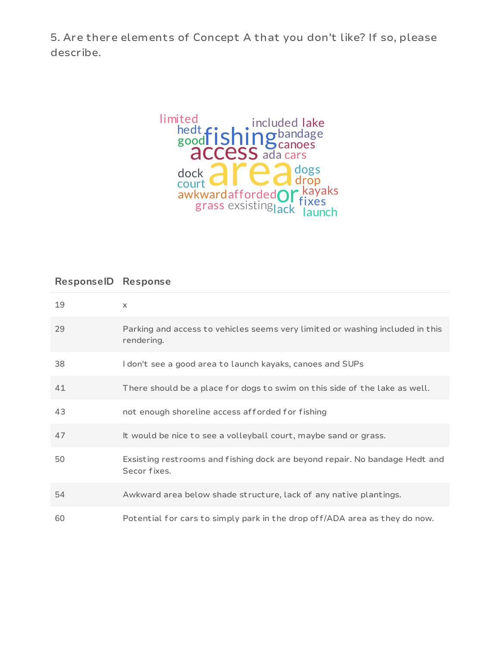5. Are there elements of Concept A that you don't like? If so, please describe.



| 19 | $\times$                                                                                    |
|----|---------------------------------------------------------------------------------------------|
| 29 | Parking and access to vehicles seems very limited or washing included in this<br>rendering. |
| 38 | I don't see a good area to launch kayaks, canoes and SUPs                                   |
| 41 | There should be a place for dogs to swim on this side of the lake as well.                  |
| 43 | not enough shoreline access afforded for fishing                                            |
| 47 | It would be nice to see a volleyball court, maybe sand or grass.                            |
| 50 | Exsisting restrooms and fishing dock are beyond repair. No bandage Hedt and<br>Secor fixes. |
| 54 | Awkward area below shade structure, lack of any native plantings.                           |
| 60 | Potential for cars to simply park in the drop off/ADA area as they do now.                  |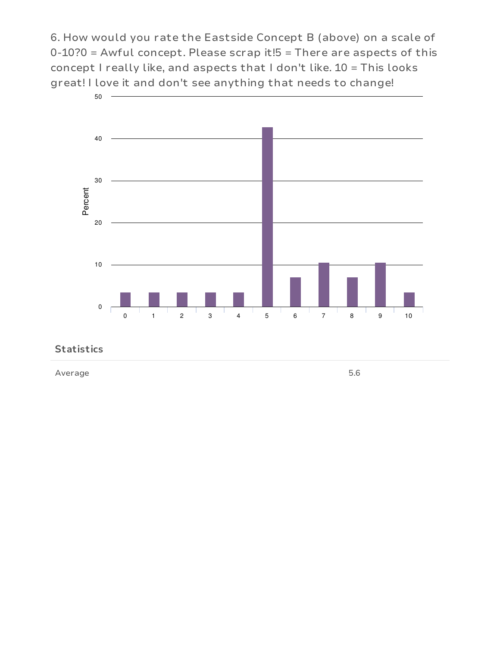6. How would you rate the Eastside Concept B (above) on a scale of  $0-10$ ?0 = Awful concept. Please scrap it! $5$  = There are aspects of this concept I really like, and aspects that I don't like. 10 = This looks great! I love it and don't see anything that needs to change!



#### **Statistics**

Average 5.6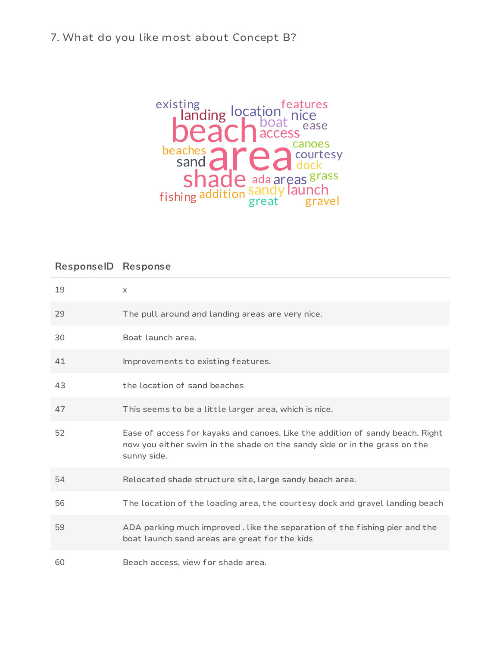## 7. What do you like most about Concept B?



| 19 | $\times$                                                                                                                                                                  |
|----|---------------------------------------------------------------------------------------------------------------------------------------------------------------------------|
| 29 | The pull around and landing areas are very nice.                                                                                                                          |
| 30 | Boat launch area.                                                                                                                                                         |
| 41 | Improvements to existing features.                                                                                                                                        |
| 43 | the location of sand beaches                                                                                                                                              |
| 47 | This seems to be a little larger area, which is nice.                                                                                                                     |
| 52 | Ease of access for kayaks and canoes. Like the addition of sandy beach. Right<br>now you either swim in the shade on the sandy side or in the grass on the<br>sunny side. |
| 54 | Relocated shade structure site, large sandy beach area.                                                                                                                   |
| 56 | The location of the loading area, the courtesy dock and gravel landing beach                                                                                              |
| 59 | ADA parking much improved. Like the separation of the fishing pier and the<br>boat launch sand areas are great for the kids                                               |
| 60 | Beach access, view for shade area.                                                                                                                                        |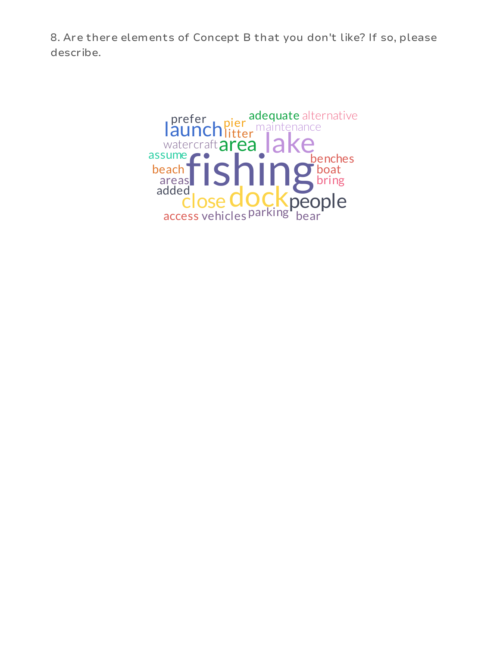8. Are there elements of Concept B that you don't like? If so, please describe.

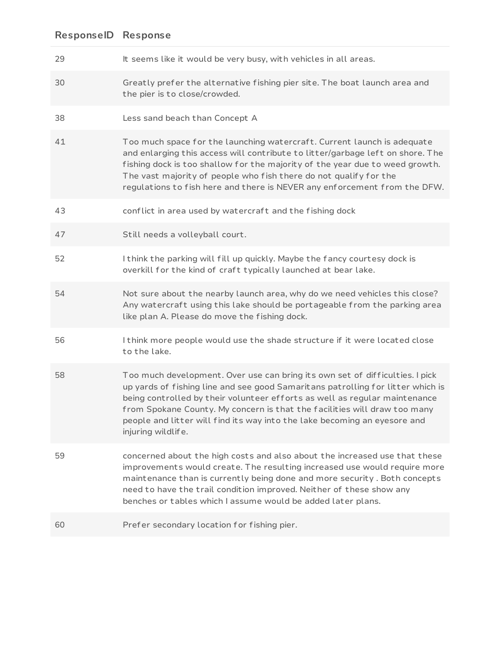- 29 It seems like it would be very busy, with vehicles in all areas.
- 30 Greatly prefer the alternative f ishing pier site. The boat launch area and the pier is to close/crowded.
- 38 Less sand beach than Concept A
- 41 Too much space for the launching watercraft. Current launch is adequate and enlarging this access will contribute to litter/garbage left on shore. The f ishing dock is too shallow for the majority of the year due to weed growth. The vast majority of people who f ish there do not qualify for the regulations to f ish here and there is NEVER any enforcement f rom the DFW.
- 43 conflict in area used by watercraft and the fishing dock
- 47 Still needs a volleyball court.
- 52 I think the parking will f ill up quickly. Maybe the fancy courtesy dock is overkill for the kind of craft typically launched at bear lake.
- 54 Not sure about the nearby launch area, why do we need vehicles this close? Any watercraft using this lake should be portageable from the parking area like plan A. Please do move the f ishing dock.
- 56 I think more people would use the shade structure if it were located close to the lake.
- 58 Too much development. Over use can bring its own set of difficulties. I pick up yards of f ishing line and see good Samaritans patrolling for litter which is being controlled by their volunteer ef forts as well as regular maintenance f rom Spokane County. My concern is that the facilities will draw too many people and litter will f ind its way into the lake becoming an eyesore and injuring wildlife.
- 59 concerned about the high costs and also about the increased use that these improvements would create. The resulting increased use would require more maintenance than is currently being done and more security . Both concepts need to have the trail condition improved. Neither of these show any benches or tables which I assume would be added later plans.
- 60 Prefer secondary location for f ishing pier.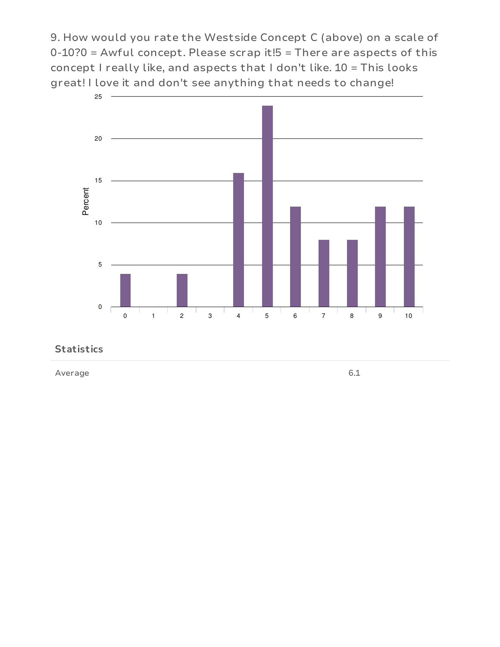9. How would you rate the Westside Concept C (above) on a scale of  $0-10$ ?0 = Awful concept. Please scrap it! $5$  = There are aspects of this concept I really like, and aspects that I don't like. 10 = This looks great! I love it and don't see anything that needs to change!



#### **Statistics**

Average 6.1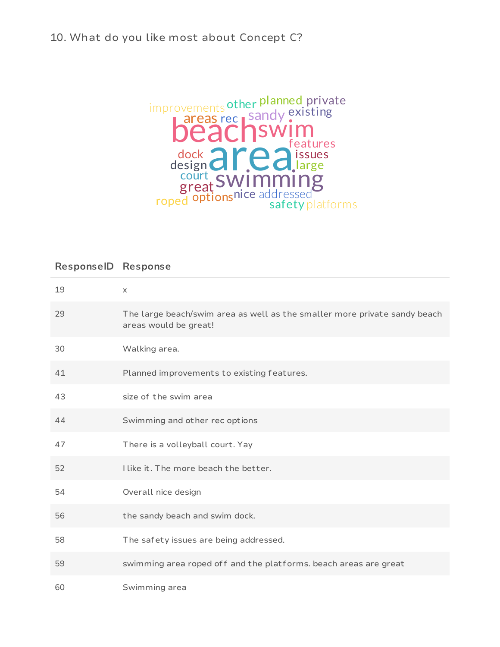## 10. What do you like most about Concept C?



| 19 | $\times$                                                                                           |
|----|----------------------------------------------------------------------------------------------------|
| 29 | The large beach/swim area as well as the smaller more private sandy beach<br>areas would be great! |
| 30 | Walking area.                                                                                      |
| 41 | Planned improvements to existing features.                                                         |
| 43 | size of the swim area                                                                              |
| 44 | Swimming and other rec options                                                                     |
| 47 | There is a volleyball court. Yay                                                                   |
| 52 | I like it. The more beach the better.                                                              |
| 54 | Overall nice design                                                                                |
| 56 | the sandy beach and swim dock.                                                                     |
| 58 | The safety issues are being addressed.                                                             |
| 59 | swimming area roped off and the platforms. beach areas are great                                   |
| 60 | Swimming area                                                                                      |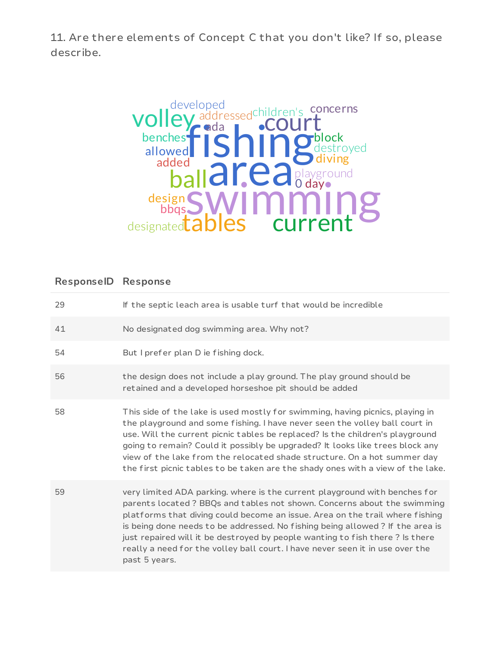11. Are there elements of Concept C that you don't like? If so, please describe.



| 29 | If the septic leach area is usable turf that would be incredible                                                                                                                                                                                                                                                                                                                                                                                                                                         |
|----|----------------------------------------------------------------------------------------------------------------------------------------------------------------------------------------------------------------------------------------------------------------------------------------------------------------------------------------------------------------------------------------------------------------------------------------------------------------------------------------------------------|
| 41 | No designated dog swimming area. Why not?                                                                                                                                                                                                                                                                                                                                                                                                                                                                |
| 54 | But I prefer plan D ie fishing dock.                                                                                                                                                                                                                                                                                                                                                                                                                                                                     |
| 56 | the design does not include a play ground. The play ground should be<br>retained and a developed horseshoe pit should be added                                                                                                                                                                                                                                                                                                                                                                           |
| 58 | This side of the lake is used mostly for swimming, having picnics, playing in<br>the playground and some fishing. I have never seen the volley ball court in<br>use. Will the current picnic tables be replaced? Is the children's playground<br>going to remain? Could it possibly be upgraded? It looks like trees block any<br>view of the lake from the relocated shade structure. On a hot summer day<br>the first picnic tables to be taken are the shady ones with a view of the lake.            |
| 59 | very limited ADA parking. where is the current playground with benches for<br>parents located? BBQs and tables not shown. Concerns about the swimming<br>platforms that diving could become an issue. Area on the trail where fishing<br>is being done needs to be addressed. No fishing being allowed? If the area is<br>just repaired will it be destroyed by people wanting to fish there? Is there<br>really a need for the volley ball court. I have never seen it in use over the<br>past 5 years. |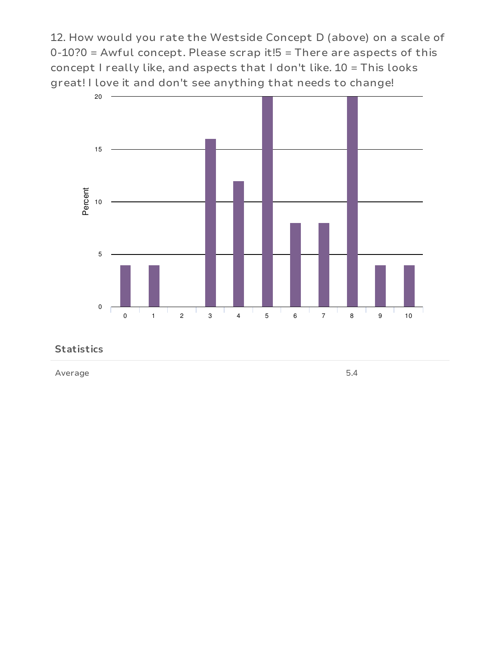12. How would you rate the Westside Concept D (above) on a scale of  $0-10$ ?0 = Awful concept. Please scrap it! $5$  = There are aspects of this concept I really like, and aspects that I don't like. 10 = This looks great! I love it and don't see anything that needs to change!



#### **Statistics**

Average 5.4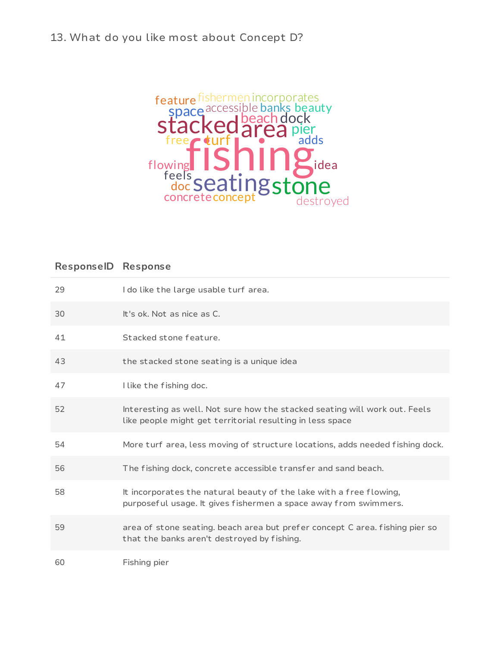## 13. What do you like most about Concept D?



| 29 | I do like the large usable turf area.                                                                                                   |
|----|-----------------------------------------------------------------------------------------------------------------------------------------|
| 30 | It's ok. Not as nice as C.                                                                                                              |
| 41 | Stacked stone feature.                                                                                                                  |
| 43 | the stacked stone seating is a unique idea                                                                                              |
| 47 | I like the fishing doc.                                                                                                                 |
| 52 | Interesting as well. Not sure how the stacked seating will work out. Feels<br>like people might get territorial resulting in less space |
| 54 | More turf area, less moving of structure locations, adds needed fishing dock.                                                           |
| 56 | The fishing dock, concrete accessible transfer and sand beach.                                                                          |
| 58 | It incorporates the natural beauty of the lake with a free flowing,<br>purposeful usage. It gives fishermen a space away from swimmers. |
| 59 | area of stone seating. beach area but prefer concept C area. fishing pier so<br>that the banks aren't destroyed by fishing.             |
| 60 | Fishing pier                                                                                                                            |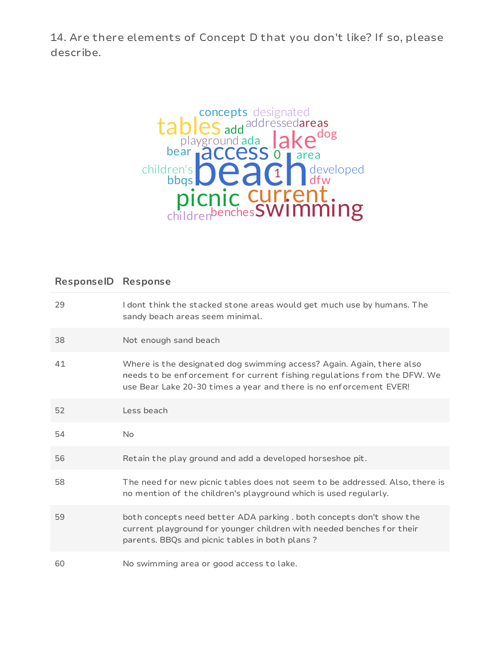14. Are there elements of Concept D that you don't like? If so, please describe.



| 29 | I dont think the stacked stone areas would get much use by humans. The<br>sandy beach areas seem minimal.                                                                                                               |
|----|-------------------------------------------------------------------------------------------------------------------------------------------------------------------------------------------------------------------------|
| 38 | Not enough sand beach                                                                                                                                                                                                   |
| 41 | Where is the designated dog swimming access? Again. Again, there also<br>needs to be enforcement for current fishing regulations from the DFW. We<br>use Bear Lake 20-30 times a year and there is no enforcement EVER! |
| 52 | Less beach                                                                                                                                                                                                              |
| 54 | No.                                                                                                                                                                                                                     |
| 56 | Retain the play ground and add a developed horseshoe pit.                                                                                                                                                               |
| 58 | The need for new picnic tables does not seem to be addressed. Also, there is<br>no mention of the children's playground which is used regularly.                                                                        |
| 59 | both concepts need better ADA parking. both concepts don't show the<br>current playground for younger children with needed benches for their<br>parents. BBQs and picnic tables in both plans?                          |
| 60 | No swimming area or good access to lake.                                                                                                                                                                                |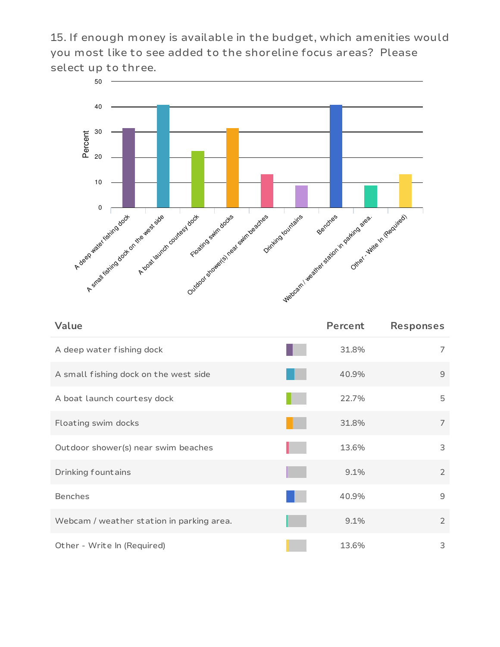15. If enough money is available in the budget, which amenities would you most like to see added to the shoreline focus areas? Please select up to three.



| Value                                     | Percent | <b>Responses</b> |
|-------------------------------------------|---------|------------------|
| A deep water fishing dock                 | 31.8%   | 7                |
| A small fishing dock on the west side     | 40.9%   | 9                |
| A boat launch courtesy dock               | 22.7%   | 5                |
| Floating swim docks                       | 31.8%   | $\overline{7}$   |
| Out door shower(s) near swim beaches      | 13.6%   | 3                |
| Drinking fountains                        | 9.1%    | $\overline{2}$   |
| <b>Benches</b>                            | 40.9%   | 9                |
| Webcam / weather station in parking area. | 9.1%    | $\overline{2}$   |
| Other - Write In (Required)               | 13.6%   | 3                |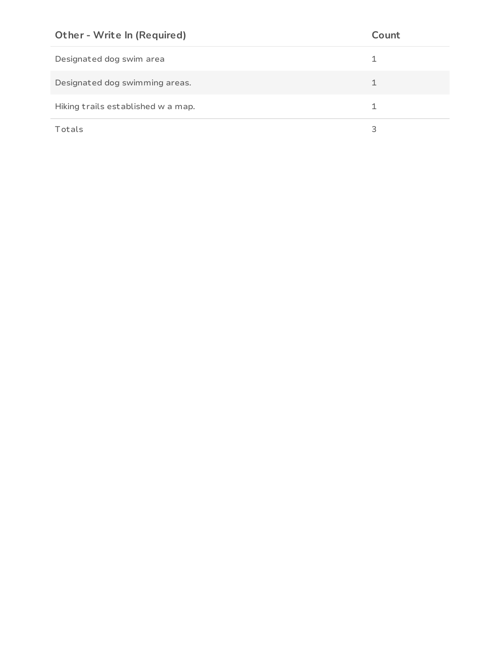| <b>Other - Write In (Required)</b> | Count |
|------------------------------------|-------|
| Designated dog swim area           |       |
| Designated dog swimming areas.     | 1     |
| Hiking trails established w a map. |       |
| Totals                             | 3     |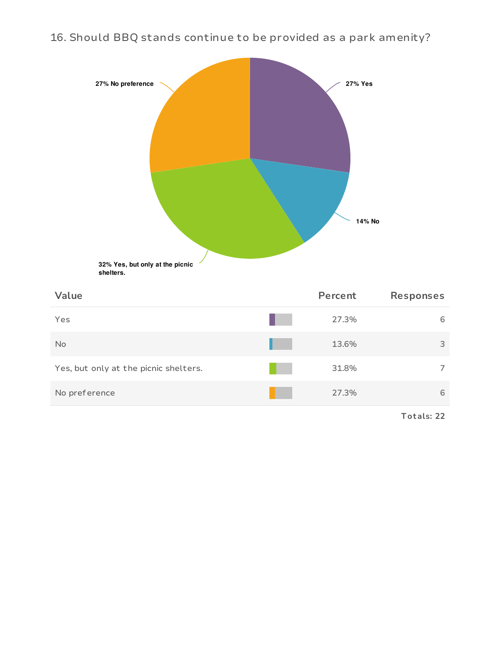16. Should BBQ stands continue to be provided as a park amenity?



**shelters.**

| Value                                 | Percent | <b>Responses</b> |
|---------------------------------------|---------|------------------|
| Yes                                   | 27.3%   | 6                |
| No                                    | 13.6%   | 3                |
| Yes, but only at the picnic shelters. | 31.8%   | 7                |
| No preference                         | 27.3%   | 6                |
|                                       |         |                  |

**Tot als: 22**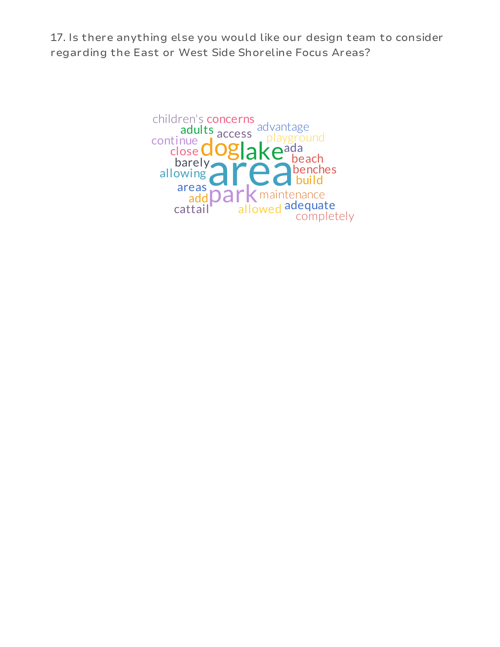17. Is there anything else you would like our design team to consider regarding the East or West Side Shoreline Focus Areas?

> area doglake<sup>a</sup> park maintenance playground adults access advantage ada add allowing areas barely **beach** benches build cattail children's concerns close completely continue